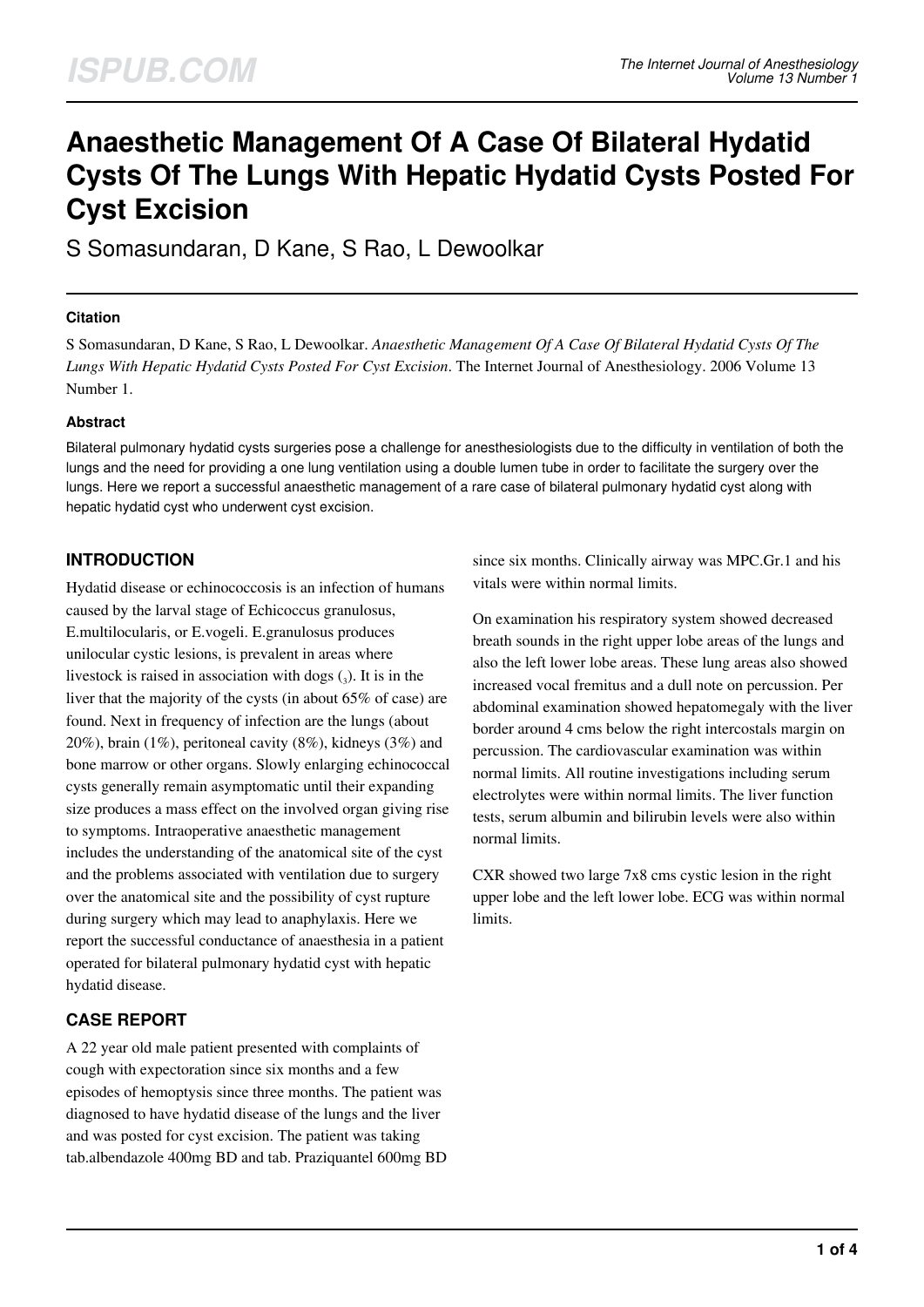# **Anaesthetic Management Of A Case Of Bilateral Hydatid Cysts Of The Lungs With Hepatic Hydatid Cysts Posted For Cyst Excision**

S Somasundaran, D Kane, S Rao, L Dewoolkar

## **Citation**

S Somasundaran, D Kane, S Rao, L Dewoolkar. *Anaesthetic Management Of A Case Of Bilateral Hydatid Cysts Of The Lungs With Hepatic Hydatid Cysts Posted For Cyst Excision*. The Internet Journal of Anesthesiology. 2006 Volume 13 Number 1.

## **Abstract**

Bilateral pulmonary hydatid cysts surgeries pose a challenge for anesthesiologists due to the difficulty in ventilation of both the lungs and the need for providing a one lung ventilation using a double lumen tube in order to facilitate the surgery over the lungs. Here we report a successful anaesthetic management of a rare case of bilateral pulmonary hydatid cyst along with hepatic hydatid cyst who underwent cyst excision.

# **INTRODUCTION**

Hydatid disease or echinococcosis is an infection of humans caused by the larval stage of Echicoccus granulosus, E.multilocularis, or E.vogeli. E.granulosus produces unilocular cystic lesions, is prevalent in areas where livestock is raised in association with dogs  $\binom{3}{3}$ . It is in the liver that the majority of the cysts (in about 65% of case) are found. Next in frequency of infection are the lungs (about 20%), brain (1%), peritoneal cavity (8%), kidneys (3%) and bone marrow or other organs. Slowly enlarging echinococcal cysts generally remain asymptomatic until their expanding size produces a mass effect on the involved organ giving rise to symptoms. Intraoperative anaesthetic management includes the understanding of the anatomical site of the cyst and the problems associated with ventilation due to surgery over the anatomical site and the possibility of cyst rupture during surgery which may lead to anaphylaxis. Here we report the successful conductance of anaesthesia in a patient operated for bilateral pulmonary hydatid cyst with hepatic hydatid disease.

# **CASE REPORT**

A 22 year old male patient presented with complaints of cough with expectoration since six months and a few episodes of hemoptysis since three months. The patient was diagnosed to have hydatid disease of the lungs and the liver and was posted for cyst excision. The patient was taking tab.albendazole 400mg BD and tab. Praziquantel 600mg BD since six months. Clinically airway was MPC.Gr.1 and his vitals were within normal limits.

On examination his respiratory system showed decreased breath sounds in the right upper lobe areas of the lungs and also the left lower lobe areas. These lung areas also showed increased vocal fremitus and a dull note on percussion. Per abdominal examination showed hepatomegaly with the liver border around 4 cms below the right intercostals margin on percussion. The cardiovascular examination was within normal limits. All routine investigations including serum electrolytes were within normal limits. The liver function tests, serum albumin and bilirubin levels were also within normal limits.

CXR showed two large 7x8 cms cystic lesion in the right upper lobe and the left lower lobe. ECG was within normal limits.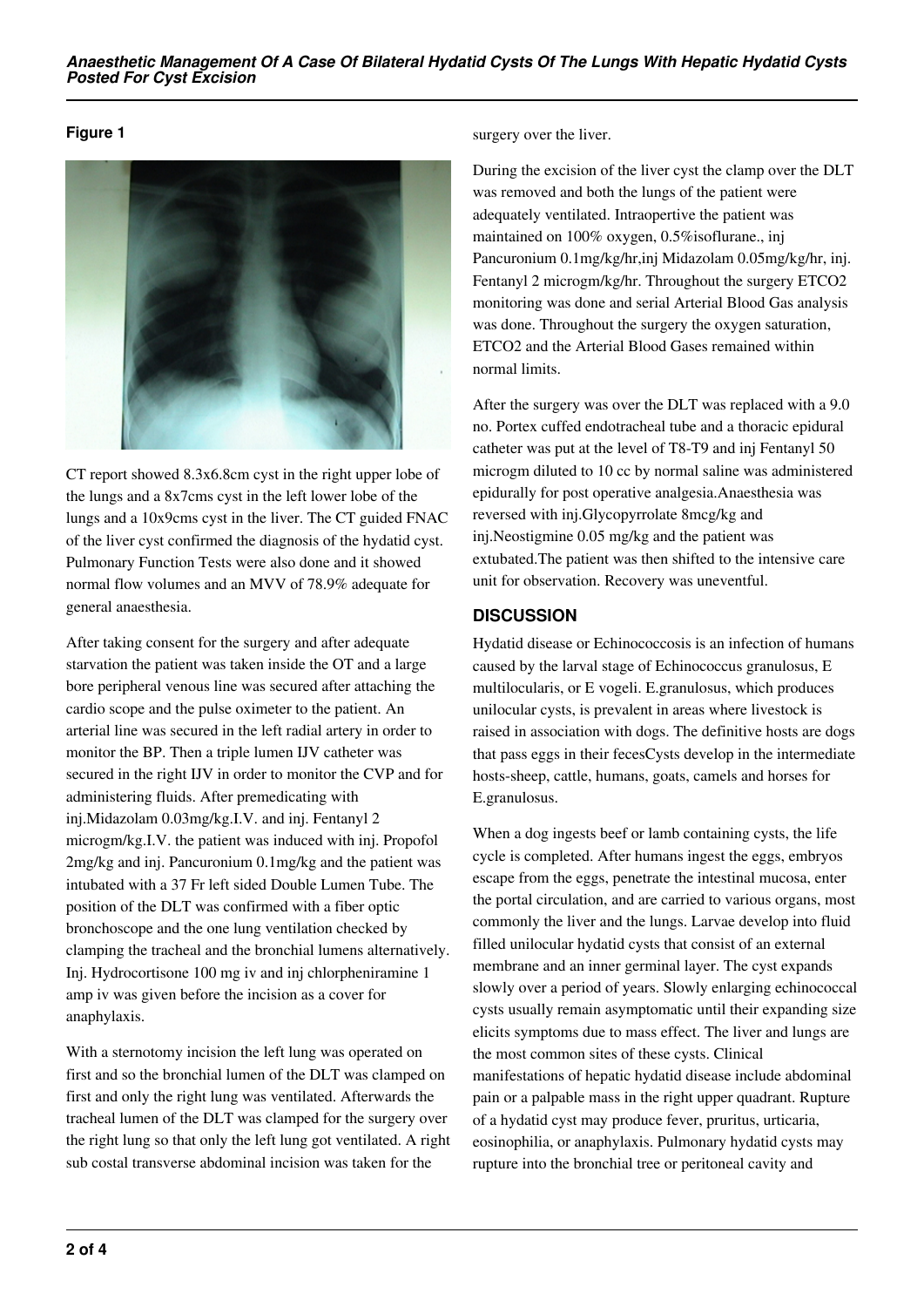## **Figure 1**



CT report showed 8.3x6.8cm cyst in the right upper lobe of the lungs and a 8x7cms cyst in the left lower lobe of the lungs and a 10x9cms cyst in the liver. The CT guided FNAC of the liver cyst confirmed the diagnosis of the hydatid cyst. Pulmonary Function Tests were also done and it showed normal flow volumes and an MVV of 78.9% adequate for general anaesthesia.

After taking consent for the surgery and after adequate starvation the patient was taken inside the OT and a large bore peripheral venous line was secured after attaching the cardio scope and the pulse oximeter to the patient. An arterial line was secured in the left radial artery in order to monitor the BP. Then a triple lumen IJV catheter was secured in the right IJV in order to monitor the CVP and for administering fluids. After premedicating with inj.Midazolam 0.03mg/kg.I.V. and inj. Fentanyl 2 microgm/kg.I.V. the patient was induced with inj. Propofol 2mg/kg and inj. Pancuronium 0.1mg/kg and the patient was intubated with a 37 Fr left sided Double Lumen Tube. The position of the DLT was confirmed with a fiber optic bronchoscope and the one lung ventilation checked by clamping the tracheal and the bronchial lumens alternatively. Inj. Hydrocortisone 100 mg iv and inj chlorpheniramine 1 amp iv was given before the incision as a cover for anaphylaxis.

With a sternotomy incision the left lung was operated on first and so the bronchial lumen of the DLT was clamped on first and only the right lung was ventilated. Afterwards the tracheal lumen of the DLT was clamped for the surgery over the right lung so that only the left lung got ventilated. A right sub costal transverse abdominal incision was taken for the

#### surgery over the liver.

During the excision of the liver cyst the clamp over the DLT was removed and both the lungs of the patient were adequately ventilated. Intraopertive the patient was maintained on 100% oxygen, 0.5%isoflurane., inj Pancuronium 0.1mg/kg/hr,inj Midazolam 0.05mg/kg/hr, inj. Fentanyl 2 microgm/kg/hr. Throughout the surgery ETCO2 monitoring was done and serial Arterial Blood Gas analysis was done. Throughout the surgery the oxygen saturation, ETCO2 and the Arterial Blood Gases remained within normal limits.

After the surgery was over the DLT was replaced with a 9.0 no. Portex cuffed endotracheal tube and a thoracic epidural catheter was put at the level of T8-T9 and inj Fentanyl 50 microgm diluted to 10 cc by normal saline was administered epidurally for post operative analgesia.Anaesthesia was reversed with inj.Glycopyrrolate 8mcg/kg and inj.Neostigmine 0.05 mg/kg and the patient was extubated.The patient was then shifted to the intensive care unit for observation. Recovery was uneventful.

## **DISCUSSION**

Hydatid disease or Echinococcosis is an infection of humans caused by the larval stage of Echinococcus granulosus, E multilocularis, or E vogeli. E.granulosus, which produces unilocular cysts, is prevalent in areas where livestock is raised in association with dogs. The definitive hosts are dogs that pass eggs in their fecesCysts develop in the intermediate hosts-sheep, cattle, humans, goats, camels and horses for E.granulosus.

When a dog ingests beef or lamb containing cysts, the life cycle is completed. After humans ingest the eggs, embryos escape from the eggs, penetrate the intestinal mucosa, enter the portal circulation, and are carried to various organs, most commonly the liver and the lungs. Larvae develop into fluid filled unilocular hydatid cysts that consist of an external membrane and an inner germinal layer. The cyst expands slowly over a period of years. Slowly enlarging echinococcal cysts usually remain asymptomatic until their expanding size elicits symptoms due to mass effect. The liver and lungs are the most common sites of these cysts. Clinical manifestations of hepatic hydatid disease include abdominal pain or a palpable mass in the right upper quadrant. Rupture of a hydatid cyst may produce fever, pruritus, urticaria, eosinophilia, or anaphylaxis. Pulmonary hydatid cysts may rupture into the bronchial tree or peritoneal cavity and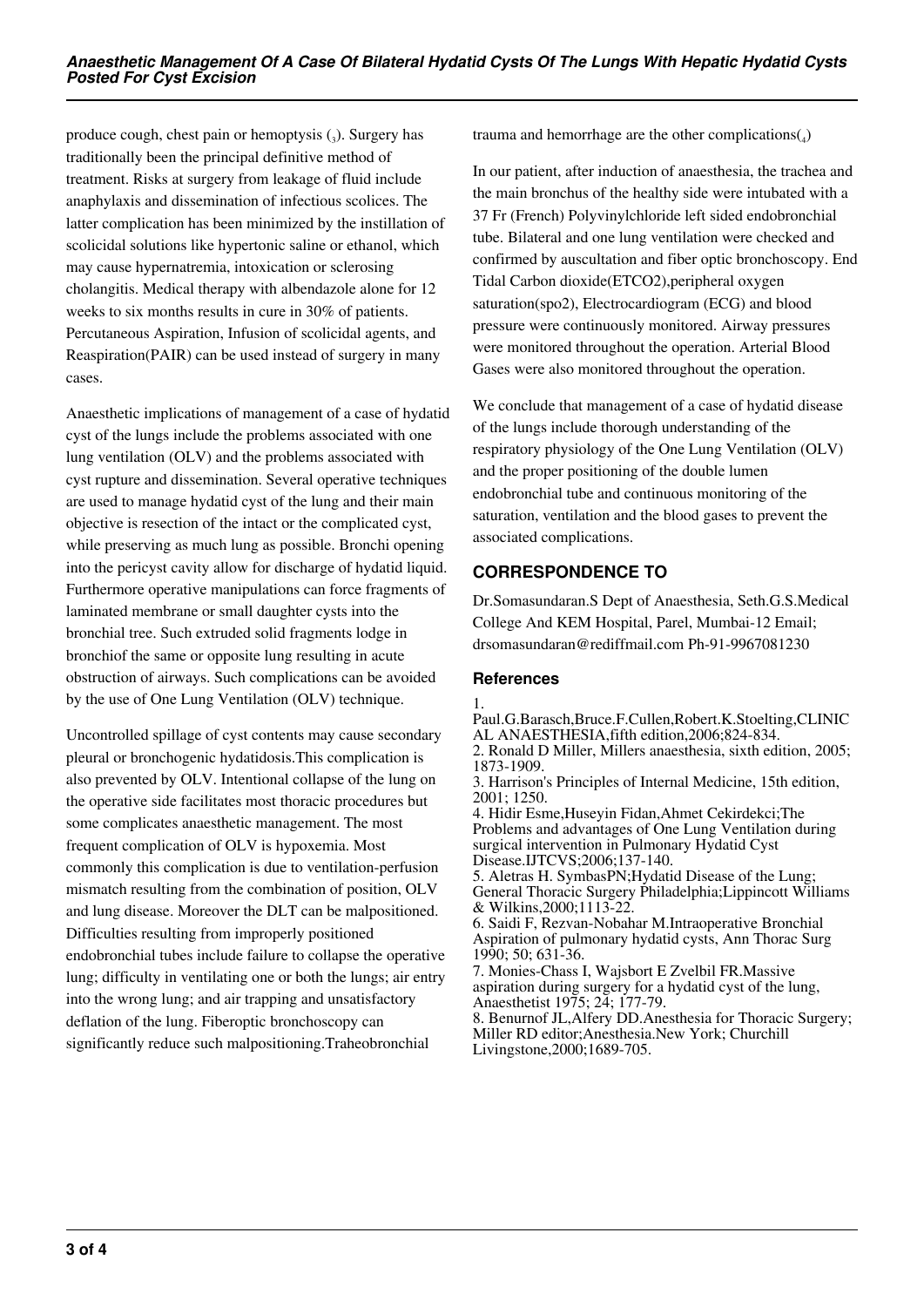produce cough, chest pain or hemoptysis  $(_{3})$ . Surgery has traditionally been the principal definitive method of treatment. Risks at surgery from leakage of fluid include anaphylaxis and dissemination of infectious scolices. The latter complication has been minimized by the instillation of scolicidal solutions like hypertonic saline or ethanol, which may cause hypernatremia, intoxication or sclerosing cholangitis. Medical therapy with albendazole alone for 12 weeks to six months results in cure in 30% of patients. Percutaneous Aspiration, Infusion of scolicidal agents, and Reaspiration(PAIR) can be used instead of surgery in many cases.

Anaesthetic implications of management of a case of hydatid cyst of the lungs include the problems associated with one lung ventilation (OLV) and the problems associated with cyst rupture and dissemination. Several operative techniques are used to manage hydatid cyst of the lung and their main objective is resection of the intact or the complicated cyst, while preserving as much lung as possible. Bronchi opening into the pericyst cavity allow for discharge of hydatid liquid. Furthermore operative manipulations can force fragments of laminated membrane or small daughter cysts into the bronchial tree. Such extruded solid fragments lodge in bronchiof the same or opposite lung resulting in acute obstruction of airways. Such complications can be avoided by the use of One Lung Ventilation (OLV) technique.

Uncontrolled spillage of cyst contents may cause secondary pleural or bronchogenic hydatidosis.This complication is also prevented by OLV. Intentional collapse of the lung on the operative side facilitates most thoracic procedures but some complicates anaesthetic management. The most frequent complication of OLV is hypoxemia. Most commonly this complication is due to ventilation-perfusion mismatch resulting from the combination of position, OLV and lung disease. Moreover the DLT can be malpositioned. Difficulties resulting from improperly positioned endobronchial tubes include failure to collapse the operative lung; difficulty in ventilating one or both the lungs; air entry into the wrong lung; and air trapping and unsatisfactory deflation of the lung. Fiberoptic bronchoscopy can significantly reduce such malpositioning.Traheobronchial

trauma and hemorrhage are the other complications( $_4$ )

In our patient, after induction of anaesthesia, the trachea and the main bronchus of the healthy side were intubated with a 37 Fr (French) Polyvinylchloride left sided endobronchial tube. Bilateral and one lung ventilation were checked and confirmed by auscultation and fiber optic bronchoscopy. End Tidal Carbon dioxide(ETCO2),peripheral oxygen saturation(spo2), Electrocardiogram (ECG) and blood pressure were continuously monitored. Airway pressures were monitored throughout the operation. Arterial Blood Gases were also monitored throughout the operation.

We conclude that management of a case of hydatid disease of the lungs include thorough understanding of the respiratory physiology of the One Lung Ventilation (OLV) and the proper positioning of the double lumen endobronchial tube and continuous monitoring of the saturation, ventilation and the blood gases to prevent the associated complications.

# **CORRESPONDENCE TO**

Dr.Somasundaran.S Dept of Anaesthesia, Seth.G.S.Medical College And KEM Hospital, Parel, Mumbai-12 Email; drsomasundaran@rediffmail.com Ph-91-9967081230

## **References**

Paul.G.Barasch,Bruce.F.Cullen,Robert.K.Stoelting,CLINIC AL ANAESTHESIA,fifth edition,2006;824-834. 2. Ronald D Miller, Millers anaesthesia, sixth edition, 2005;

1873-1909. 3. Harrison's Principles of Internal Medicine, 15th edition,

2001; 1250. 4. Hidir Esme,Huseyin Fidan,Ahmet Cekirdekci;The Problems and advantages of One Lung Ventilation during surgical intervention in Pulmonary Hydatid Cyst Disease.IJTCVS;2006;137-140.

5. Aletras H. SymbasPN;Hydatid Disease of the Lung; General Thoracic Surgery Philadelphia;Lippincott Williams & Wilkins,2000;1113-22.

6. Saidi F, Rezvan-Nobahar M.Intraoperative Bronchial Aspiration of pulmonary hydatid cysts, Ann Thorac Surg 1990; 50; 631-36.

7. Monies-Chass I, Wajsbort E Zvelbil FR.Massive aspiration during surgery for a hydatid cyst of the lung, Anaesthetist 1975; 24; 177-79.

8. Benurnof JL,Alfery DD.Anesthesia for Thoracic Surgery; Miller RD editor;Anesthesia.New York; Churchill Livingstone,2000;1689-705.

<sup>1.</sup>